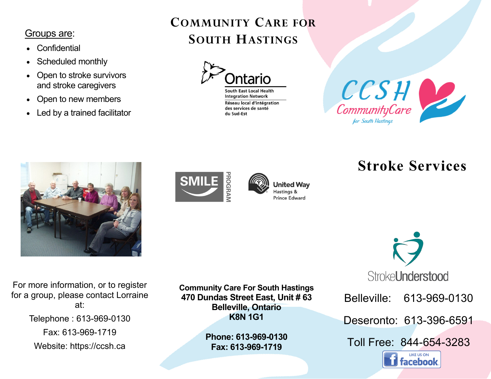## Groups are:

- **Confidential**
- Scheduled monthly
- Open to stroke survivors and stroke caregivers
- Open to new members
- Led by a trained facilitator

## **COMMUNITY CARE FOR SOUTH HASTINGS**



**South East Local Health Integration Network** Réseau local d'intégration des services de santé du Sud-Est







**United Way** Hastings & **Prince Edward** 

# **Stroke Services**

Stroke**Understood** 

Belleville: 613-969-0130

Deseronto: 613-396-6591

Toll Free: 844-654-3283



For more information, or to register for a group, please contact Lorraine at: Telephone : 613-969-0130 Fax: 613-969-1719 Website: https://ccsh.ca

**Community Care For South Hastings 470 Dundas Street East, Unit # 63 Belleville, Ontario K8N 1G1**

> **Phone: 613-969-0130 Fax: 613-969-1719**